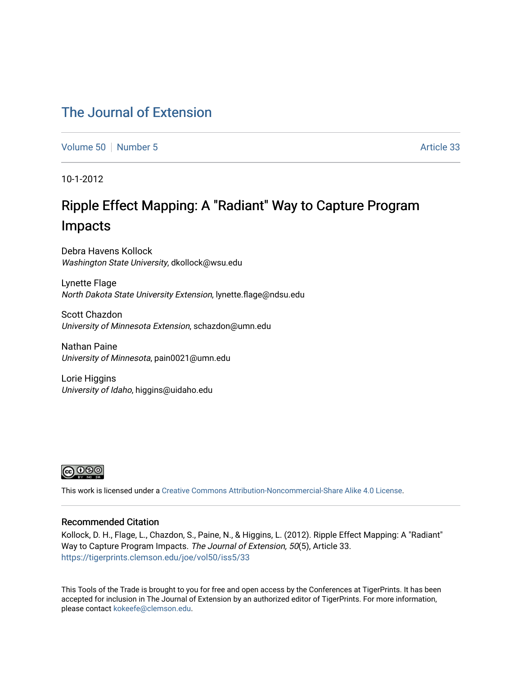## [The Journal of Extension](https://tigerprints.clemson.edu/joe)

[Volume 50](https://tigerprints.clemson.edu/joe/vol50) [Number 5](https://tigerprints.clemson.edu/joe/vol50/iss5) Article 33

10-1-2012

# Ripple Effect Mapping: A "Radiant" Way to Capture Program Impacts

Debra Havens Kollock Washington State University, dkollock@wsu.edu

Lynette Flage North Dakota State University Extension, lynette.flage@ndsu.edu

Scott Chazdon University of Minnesota Extension, schazdon@umn.edu

Nathan Paine University of Minnesota, pain0021@umn.edu

Lorie Higgins University of Idaho, higgins@uidaho.edu



This work is licensed under a [Creative Commons Attribution-Noncommercial-Share Alike 4.0 License.](https://creativecommons.org/licenses/by-nc-sa/4.0/)

## Recommended Citation

Kollock, D. H., Flage, L., Chazdon, S., Paine, N., & Higgins, L. (2012). Ripple Effect Mapping: A "Radiant" Way to Capture Program Impacts. The Journal of Extension, 50(5), Article 33. <https://tigerprints.clemson.edu/joe/vol50/iss5/33>

This Tools of the Trade is brought to you for free and open access by the Conferences at TigerPrints. It has been accepted for inclusion in The Journal of Extension by an authorized editor of TigerPrints. For more information, please contact [kokeefe@clemson.edu](mailto:kokeefe@clemson.edu).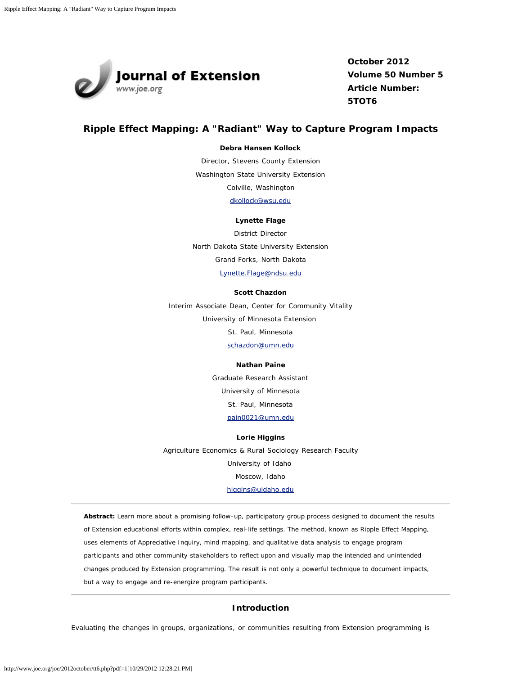

**October 2012 Volume 50 Number 5 Article Number: 5TOT6**

## **Ripple Effect Mapping: A "Radiant" Way to Capture Program Impacts**

#### **Debra Hansen Kollock**

Director, Stevens County Extension Washington State University Extension Colville, Washington [dkollock@wsu.edu](mailto:dkollock@wsu.edu)

**Lynette Flage** District Director North Dakota State University Extension Grand Forks, North Dakota

[Lynette.Flage@ndsu.edu](mailto:Lynette.Flage@ndsu.edu)

#### **Scott Chazdon**

Interim Associate Dean, Center for Community Vitality University of Minnesota Extension St. Paul, Minnesota

[schazdon@umn.edu](mailto:schazdon@umn.edu)

#### **Nathan Paine**

Graduate Research Assistant

University of Minnesota

St. Paul, Minnesota

[pain0021@umn.edu](mailto:pain0021@umn.edu)

#### **Lorie Higgins**

Agriculture Economics & Rural Sociology Research Faculty University of Idaho Moscow, Idaho [higgins@uidaho.edu](mailto:higgins@uidaho.edu)

*Abstract: Learn more about a promising follow-up, participatory group process designed to document the results of Extension educational efforts within complex, real-life settings. The method, known as Ripple Effect Mapping, uses elements of Appreciative Inquiry, mind mapping, and qualitative data analysis to engage program participants and other community stakeholders to reflect upon and visually map the intended and unintended changes produced by Extension programming. The result is not only a powerful technique to document impacts, but a way to engage and re-energize program participants.*

#### **Introduction**

Evaluating the changes in groups, organizations, or communities resulting from Extension programming is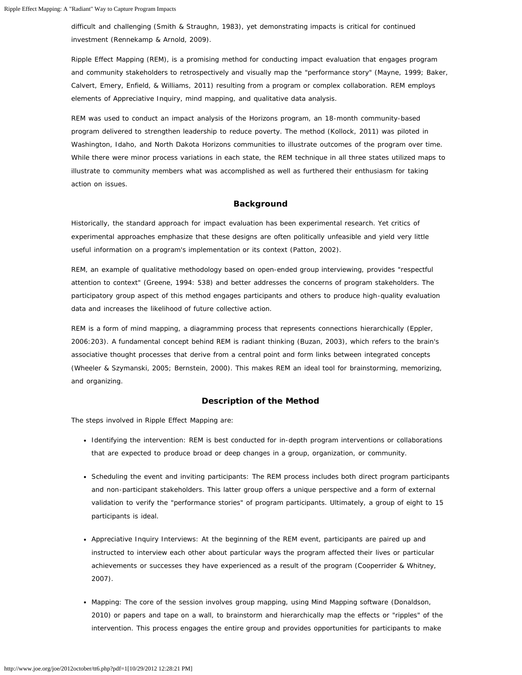difficult and challenging (Smith & Straughn, 1983), yet demonstrating impacts is critical for continued investment (Rennekamp & Arnold, 2009).

Ripple Effect Mapping (REM), is a promising method for conducting impact evaluation that engages program and community stakeholders to retrospectively and visually map the "performance story" (Mayne, 1999; Baker, Calvert, Emery, Enfield, & Williams, 2011) resulting from a program or complex collaboration. REM employs elements of Appreciative Inquiry, mind mapping, and qualitative data analysis.

REM was used to conduct an impact analysis of the Horizons program, an 18-month community-based program delivered to strengthen leadership to reduce poverty. The method (Kollock, 2011) was piloted in Washington, Idaho, and North Dakota Horizons communities to illustrate outcomes of the program over time. While there were minor process variations in each state, the REM technique in all three states utilized maps to illustrate to community members what was accomplished as well as furthered their enthusiasm for taking action on issues.

#### **Background**

Historically, the standard approach for impact evaluation has been experimental research. Yet critics of experimental approaches emphasize that these designs are often politically unfeasible and yield very little useful information on a program's implementation or its context (Patton, 2002).

REM, an example of qualitative methodology based on open-ended group interviewing, provides "respectful attention to context" (Greene, 1994: 538) and better addresses the concerns of program stakeholders. The participatory group aspect of this method engages participants and others to produce high-quality evaluation data and increases the likelihood of future collective action.

REM is a form of mind mapping, a diagramming process that represents connections hierarchically (Eppler, 2006:203). A fundamental concept behind REM is radiant thinking (Buzan, 2003), which refers to the brain's associative thought processes that derive from a central point and form links between integrated concepts (Wheeler & Szymanski, 2005; Bernstein, 2000). This makes REM an ideal tool for brainstorming, memorizing, and organizing.

#### **Description of the Method**

The steps involved in Ripple Effect Mapping are:

- Identifying the intervention: REM is best conducted for in-depth program interventions or collaborations that are expected to produce broad or deep changes in a group, organization, or community.
- Scheduling the event and inviting participants: The REM process includes both direct program participants and non-participant stakeholders. This latter group offers a unique perspective and a form of external validation to verify the "performance stories" of program participants. Ultimately, a group of eight to 15 participants is ideal.
- Appreciative Inquiry Interviews: At the beginning of the REM event, participants are paired up and instructed to interview each other about particular ways the program affected their lives or particular achievements or successes they have experienced as a result of the program (Cooperrider & Whitney, 2007).
- Mapping: The core of the session involves group mapping, using Mind Mapping software (Donaldson, 2010) or papers and tape on a wall, to brainstorm and hierarchically map the effects or "ripples" of the intervention. This process engages the entire group and provides opportunities for participants to make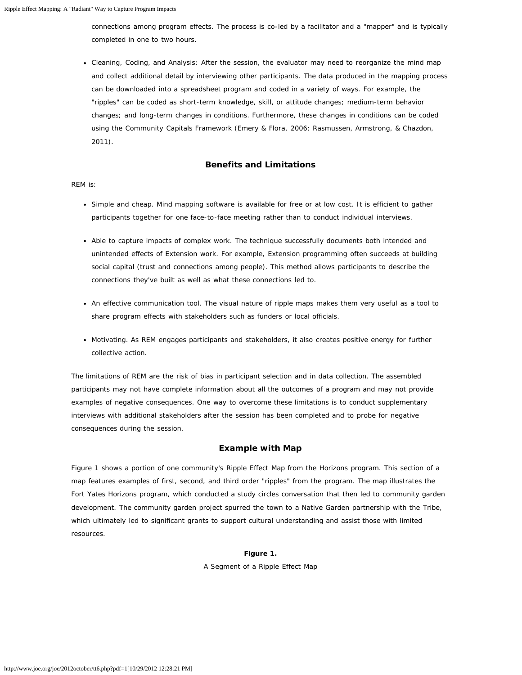connections among program effects. The process is co-led by a facilitator and a "mapper" and is typically completed in one to two hours.

Cleaning, Coding, and Analysis: After the session, the evaluator may need to reorganize the mind map and collect additional detail by interviewing other participants. The data produced in the mapping process can be downloaded into a spreadsheet program and coded in a variety of ways. For example, the "ripples" can be coded as short-term knowledge, skill, or attitude changes; medium-term behavior changes; and long-term changes in conditions. Furthermore, these changes in conditions can be coded using the Community Capitals Framework (Emery & Flora, 2006; Rasmussen, Armstrong, & Chazdon, 2011).

#### **Benefits and Limitations**

#### REM is:

- Simple and cheap. Mind mapping software is available for free or at low cost. It is efficient to gather participants together for one face-to-face meeting rather than to conduct individual interviews.
- Able to capture impacts of complex work. The technique successfully documents both intended and unintended effects of Extension work. For example, Extension programming often succeeds at building social capital (trust and connections among people). This method allows participants to describe the connections they've built as well as what these connections led to.
- An effective communication tool. The visual nature of ripple maps makes them very useful as a tool to share program effects with stakeholders such as funders or local officials.
- Motivating. As REM engages participants and stakeholders, it also creates positive energy for further collective action.

The limitations of REM are the risk of bias in participant selection and in data collection. The assembled participants may not have complete information about all the outcomes of a program and may not provide examples of negative consequences. One way to overcome these limitations is to conduct supplementary interviews with additional stakeholders after the session has been completed and to probe for negative consequences during the session.

#### **Example with Map**

Figure 1 shows a portion of one community's Ripple Effect Map from the Horizons program. This section of a map features examples of first, second, and third order "ripples" from the program. The map illustrates the Fort Yates Horizons program, which conducted a study circles conversation that then led to community garden development. The community garden project spurred the town to a Native Garden partnership with the Tribe, which ultimately led to significant grants to support cultural understanding and assist those with limited resources.

#### **Figure 1.**

A Segment of a Ripple Effect Map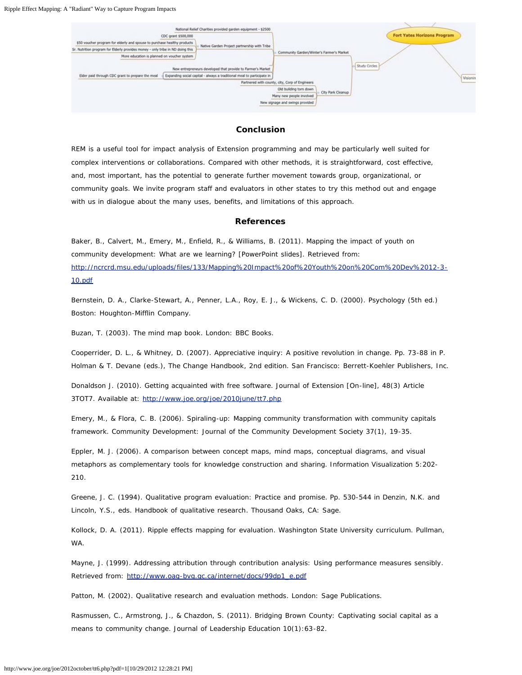

#### **Conclusion**

REM is a useful tool for impact analysis of Extension programming and may be particularly well suited for complex interventions or collaborations. Compared with other methods, it is straightforward, cost effective, and, most important, has the potential to generate further movement towards group, organizational, or community goals. We invite program staff and evaluators in other states to try this method out and engage with us in dialogue about the many uses, benefits, and limitations of this approach.

#### **References**

Baker, B., Calvert, M., Emery, M., Enfield, R., & Williams, B. (2011). Mapping the impact of youth on community development: What are we learning? [PowerPoint slides]. Retrieved from: [http://ncrcrd.msu.edu/uploads/files/133/Mapping%20Impact%20of%20Youth%20on%20Com%20Dev%2012-3-](http://ncrcrd.msu.edu/uploads/files/133/Mapping%20Impact%20of%20Youth%20on%20Com%20Dev%2012-3-10.pdf) [10.pdf](http://ncrcrd.msu.edu/uploads/files/133/Mapping%20Impact%20of%20Youth%20on%20Com%20Dev%2012-3-10.pdf)

Bernstein, D. A., Clarke-Stewart, A., Penner, L.A., Roy, E. J., & Wickens, C. D. (2000). *Psychology* (5th ed.) Boston: Houghton-Mifflin Company.

Buzan, T. (2003). *The mind map book*. London: BBC Books.

Cooperrider, D. L., & Whitney, D. (2007). Appreciative inquiry: A positive revolution in change. Pp. 73-88 in P. Holman & T. Devane (eds.), *The Change Handbook*, 2nd edition. San Francisco: Berrett-Koehler Publishers, Inc.

Donaldson J. (2010). Getting acquainted with free software. *Journal of Extension* [On-line], 48(3) Article 3TOT7. Available at: <http://www.joe.org/joe/2010june/tt7.php>

Emery, M., & Flora, C. B. (2006). Spiraling-up: Mapping community transformation with community capitals framework. *Community Development: Journal of the Community Development Society* 37(1), 19-35.

Eppler, M. J. (2006). A comparison between concept maps, mind maps, conceptual diagrams, and visual metaphors as complementary tools for knowledge construction and sharing. *Information Visualization* 5:202- 210.

Greene, J. C. (1994). Qualitative program evaluation: Practice and promise. Pp. 530-544 in Denzin, N.K. and Lincoln, Y.S., eds. *Handbook of qualitative research*. Thousand Oaks, CA: Sage.

Kollock, D. A. (2011). *Ripple effects mapping for evaluation*. Washington State University curriculum. Pullman, WA.

Mayne, J. (1999). *Addressing attribution through contribution analysis: Using performance measures sensibly*. Retrieved from: [http://www.oag-bvg.gc.ca/internet/docs/99dp1\\_e.pdf](http://www.oag-bvg.gc.ca/internet/docs/99dp1_e.pdf)

Patton, M. (2002). *Qualitative research and evaluation methods*. London: Sage Publications.

Rasmussen, C., Armstrong, J., & Chazdon, S. (2011). Bridging Brown County: Captivating social capital as a means to community change. *Journal of Leadership Education* 10(1):63-82.